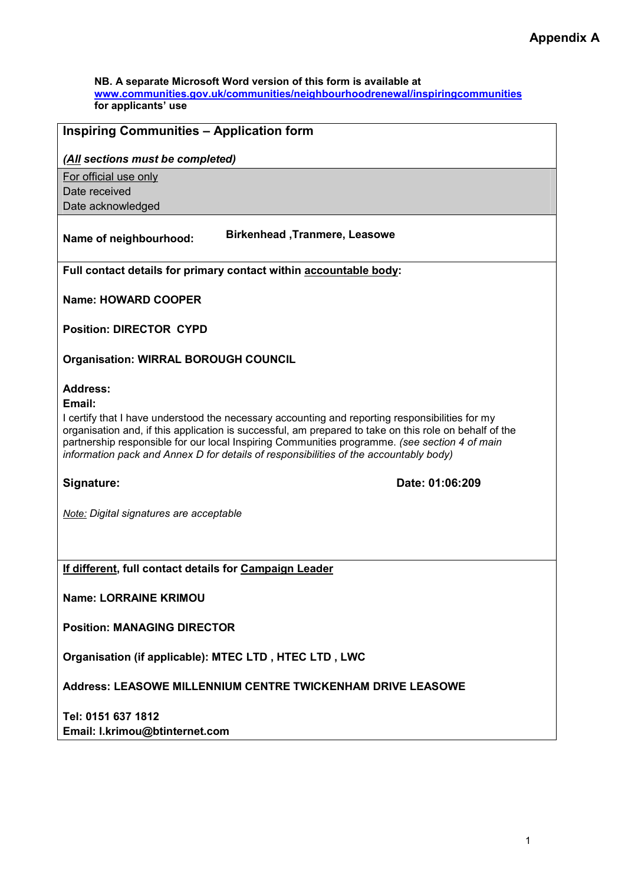NB. A separate Microsoft Word version of this form is available at www.communities.gov.uk/communities/neighbourhoodrenewal/inspiringcommunities for applicants' use

# Inspiring Communities – Application form

## (All sections must be completed)

For official use only Date received Date acknowledged

# Name of neighbourhood: Birkenhead ,Tranmere, Leasowe

Full contact details for primary contact within accountable body:

Name: HOWARD COOPER

Position: DIRECTOR CYPD

Organisation: WIRRAL BOROUGH COUNCIL

# Address:

#### Email:

I certify that I have understood the necessary accounting and reporting responsibilities for my organisation and, if this application is successful, am prepared to take on this role on behalf of the partnership responsible for our local Inspiring Communities programme. (see section 4 of main information pack and Annex D for details of responsibilities of the accountably body)

Signature: Date: 01:06:209

Note: Digital signatures are acceptable

If different, full contact details for Campaign Leader

Name: LORRAINE KRIMOU

Position: MANAGING DIRECTOR

Organisation (if applicable): MTEC LTD , HTEC LTD , LWC

Address: LEASOWE MILLENNIUM CENTRE TWICKENHAM DRIVE LEASOWE

Tel: 0151 637 1812 Email: l.krimou@btinternet.com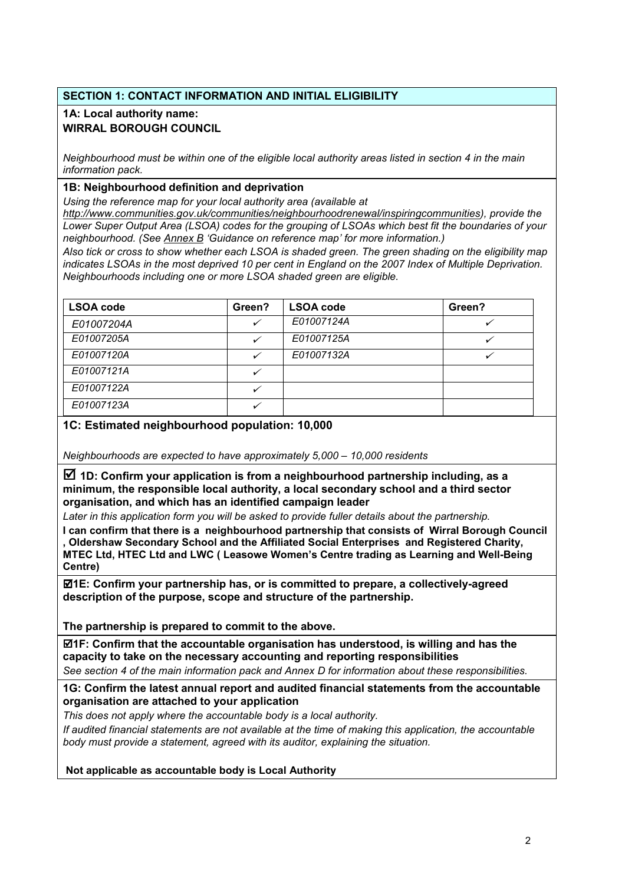# SECTION 1: CONTACT INFORMATION AND INITIAL ELIGIBILITY

# 1A: Local authority name: WIRRAL BOROUGH COUNCIL

Neighbourhood must be within one of the eligible local authority areas listed in section 4 in the main information pack.

# 1B: Neighbourhood definition and deprivation

Using the reference map for your local authority area (available at

http://www.communities.gov.uk/communities/neighbourhoodrenewal/inspiringcommunities), provide the Lower Super Output Area (LSOA) codes for the grouping of LSOAs which best fit the boundaries of your neighbourhood. (See Annex B 'Guidance on reference map' for more information.)

Also tick or cross to show whether each LSOA is shaded green. The green shading on the eligibility map indicates LSOAs in the most deprived 10 per cent in England on the 2007 Index of Multiple Deprivation. Neighbourhoods including one or more LSOA shaded green are eligible.

| <b>LSOA code</b> | Green? | <b>LSOA code</b> | Green? |
|------------------|--------|------------------|--------|
| E01007204A       |        | E01007124A       |        |
| E01007205A       |        | E01007125A       |        |
| E01007120A       |        | E01007132A       |        |
| E01007121A       |        |                  |        |
| E01007122A       |        |                  |        |
| E01007123A       |        |                  |        |

# 1C: Estimated neighbourhood population: 10,000

Neighbourhoods are expected to have approximately 5,000 – 10,000 residents

 $\overline{2}$  1D: Confirm your application is from a neighbourhood partnership including, as a minimum, the responsible local authority, a local secondary school and a third sector organisation, and which has an identified campaign leader

Later in this application form you will be asked to provide fuller details about the partnership.

I can confirm that there is a neighbourhood partnership that consists of Wirral Borough Council , Oldershaw Secondary School and the Affiliated Social Enterprises and Registered Charity, MTEC Ltd, HTEC Ltd and LWC ( Leasowe Women's Centre trading as Learning and Well-Being Centre)

 $\mathbb{Z}$ 1E: Confirm your partnership has, or is committed to prepare, a collectively-agreed description of the purpose, scope and structure of the partnership.

The partnership is prepared to commit to the above.

 $\mathbb Z$ 1F: Confirm that the accountable organisation has understood, is willing and has the capacity to take on the necessary accounting and reporting responsibilities See section 4 of the main information pack and Annex D for information about these responsibilities.

## 1G: Confirm the latest annual report and audited financial statements from the accountable organisation are attached to your application

This does not apply where the accountable body is a local authority. If audited financial statements are not available at the time of making this application, the accountable body must provide a statement, agreed with its auditor, explaining the situation.

Not applicable as accountable body is Local Authority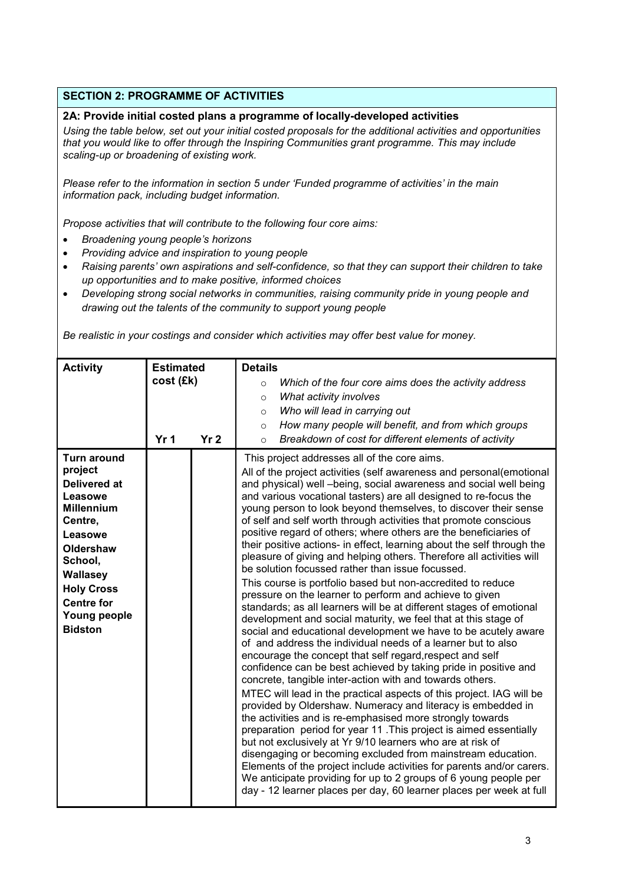# SECTION 2: PROGRAMME OF ACTIVITIES

#### 2A: Provide initial costed plans a programme of locally-developed activities

Using the table below, set out your initial costed proposals for the additional activities and opportunities that you would like to offer through the Inspiring Communities grant programme. This may include scaling-up or broadening of existing work.

Please refer to the information in section 5 under 'Funded programme of activities' in the main information pack, including budget information.

Propose activities that will contribute to the following four core aims:

- Broadening young people's horizons
- Providing advice and inspiration to young people
- Raising parents' own aspirations and self-confidence, so that they can support their children to take up opportunities and to make positive, informed choices
- Developing strong social networks in communities, raising community pride in young people and drawing out the talents of the community to support young people

Be realistic in your costings and consider which activities may offer best value for money.

| <b>Activity</b>                                                                                                                                                                                                            | <b>Estimated</b><br>cost (£k)<br>Yr <sub>1</sub> | Yr <sub>2</sub> | <b>Details</b><br>Which of the four core aims does the activity address<br>$\circ$<br>What activity involves<br>$\circ$<br>Who will lead in carrying out<br>$\circ$<br>How many people will benefit, and from which groups<br>$\circ$<br>Breakdown of cost for different elements of activity<br>$\circ$                                                                                                                                                                                                                                                                                                                                                                                                                                                                                                                                                                                                                                                                                                                                                                                                                                                                                                                                                                                                                                                                                                                                                                                                                                                                                                                                                                                                                                                                                                                                                                                                 |
|----------------------------------------------------------------------------------------------------------------------------------------------------------------------------------------------------------------------------|--------------------------------------------------|-----------------|----------------------------------------------------------------------------------------------------------------------------------------------------------------------------------------------------------------------------------------------------------------------------------------------------------------------------------------------------------------------------------------------------------------------------------------------------------------------------------------------------------------------------------------------------------------------------------------------------------------------------------------------------------------------------------------------------------------------------------------------------------------------------------------------------------------------------------------------------------------------------------------------------------------------------------------------------------------------------------------------------------------------------------------------------------------------------------------------------------------------------------------------------------------------------------------------------------------------------------------------------------------------------------------------------------------------------------------------------------------------------------------------------------------------------------------------------------------------------------------------------------------------------------------------------------------------------------------------------------------------------------------------------------------------------------------------------------------------------------------------------------------------------------------------------------------------------------------------------------------------------------------------------------|
| <b>Turn around</b><br>project<br><b>Delivered at</b><br>Leasowe<br><b>Millennium</b><br>Centre,<br>Leasowe<br>Oldershaw<br>School,<br>Wallasey<br><b>Holy Cross</b><br><b>Centre for</b><br>Young people<br><b>Bidston</b> |                                                  |                 | This project addresses all of the core aims.<br>All of the project activities (self awareness and personal(emotional<br>and physical) well -being, social awareness and social well being<br>and various vocational tasters) are all designed to re-focus the<br>young person to look beyond themselves, to discover their sense<br>of self and self worth through activities that promote conscious<br>positive regard of others; where others are the beneficiaries of<br>their positive actions- in effect, learning about the self through the<br>pleasure of giving and helping others. Therefore all activities will<br>be solution focussed rather than issue focussed.<br>This course is portfolio based but non-accredited to reduce<br>pressure on the learner to perform and achieve to given<br>standards; as all learners will be at different stages of emotional<br>development and social maturity, we feel that at this stage of<br>social and educational development we have to be acutely aware<br>of and address the individual needs of a learner but to also<br>encourage the concept that self regard, respect and self<br>confidence can be best achieved by taking pride in positive and<br>concrete, tangible inter-action with and towards others.<br>MTEC will lead in the practical aspects of this project. IAG will be<br>provided by Oldershaw. Numeracy and literacy is embedded in<br>the activities and is re-emphasised more strongly towards<br>preparation period for year 11. This project is aimed essentially<br>but not exclusively at Yr 9/10 learners who are at risk of<br>disengaging or becoming excluded from mainstream education.<br>Elements of the project include activities for parents and/or carers.<br>We anticipate providing for up to 2 groups of 6 young people per<br>day - 12 learner places per day, 60 learner places per week at full |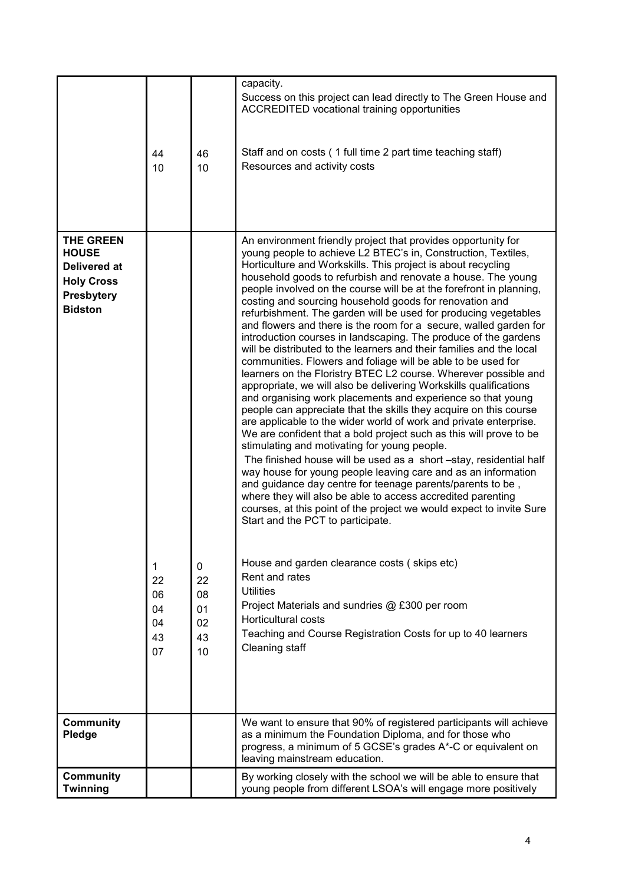|                                                                                                       | 44<br>10                              | 46<br>10                                         | capacity.<br>Success on this project can lead directly to The Green House and<br><b>ACCREDITED vocational training opportunities</b><br>Staff and on costs (1 full time 2 part time teaching staff)<br>Resources and activity costs                                                                                                                                                                                                                                                                                                                                                                                                                                                                                                                                                                                                                                                                                                                                                                                                                                                                                                                                                                                                                                                                                                                                                                                                                                                                                                                                                                                                                                                                                                                                                                                                                                 |
|-------------------------------------------------------------------------------------------------------|---------------------------------------|--------------------------------------------------|---------------------------------------------------------------------------------------------------------------------------------------------------------------------------------------------------------------------------------------------------------------------------------------------------------------------------------------------------------------------------------------------------------------------------------------------------------------------------------------------------------------------------------------------------------------------------------------------------------------------------------------------------------------------------------------------------------------------------------------------------------------------------------------------------------------------------------------------------------------------------------------------------------------------------------------------------------------------------------------------------------------------------------------------------------------------------------------------------------------------------------------------------------------------------------------------------------------------------------------------------------------------------------------------------------------------------------------------------------------------------------------------------------------------------------------------------------------------------------------------------------------------------------------------------------------------------------------------------------------------------------------------------------------------------------------------------------------------------------------------------------------------------------------------------------------------------------------------------------------------|
| <b>THE GREEN</b><br><b>HOUSE</b><br>Delivered at<br><b>Holy Cross</b><br>Presbytery<br><b>Bidston</b> | 1<br>22<br>06<br>04<br>04<br>43<br>07 | $\mathbf{0}$<br>22<br>08<br>01<br>02<br>43<br>10 | An environment friendly project that provides opportunity for<br>young people to achieve L2 BTEC's in, Construction, Textiles,<br>Horticulture and Workskills. This project is about recycling<br>household goods to refurbish and renovate a house. The young<br>people involved on the course will be at the forefront in planning,<br>costing and sourcing household goods for renovation and<br>refurbishment. The garden will be used for producing vegetables<br>and flowers and there is the room for a secure, walled garden for<br>introduction courses in landscaping. The produce of the gardens<br>will be distributed to the learners and their families and the local<br>communities. Flowers and foliage will be able to be used for<br>learners on the Floristry BTEC L2 course. Wherever possible and<br>appropriate, we will also be delivering Workskills qualifications<br>and organising work placements and experience so that young<br>people can appreciate that the skills they acquire on this course<br>are applicable to the wider world of work and private enterprise.<br>We are confident that a bold project such as this will prove to be<br>stimulating and motivating for young people.<br>The finished house will be used as a short -stay, residential half<br>way house for young people leaving care and as an information<br>and guidance day centre for teenage parents/parents to be,<br>where they will also be able to access accredited parenting<br>courses, at this point of the project we would expect to invite Sure<br>Start and the PCT to participate.<br>House and garden clearance costs (skips etc)<br>Rent and rates<br><b>Utilities</b><br>Project Materials and sundries @ £300 per room<br><b>Horticultural costs</b><br>Teaching and Course Registration Costs for up to 40 learners<br>Cleaning staff |
| <b>Community</b><br><b>Pledge</b>                                                                     |                                       |                                                  | We want to ensure that 90% of registered participants will achieve<br>as a minimum the Foundation Diploma, and for those who<br>progress, a minimum of 5 GCSE's grades A*-C or equivalent on<br>leaving mainstream education.                                                                                                                                                                                                                                                                                                                                                                                                                                                                                                                                                                                                                                                                                                                                                                                                                                                                                                                                                                                                                                                                                                                                                                                                                                                                                                                                                                                                                                                                                                                                                                                                                                       |
| <b>Community</b><br>Twinning                                                                          |                                       |                                                  | By working closely with the school we will be able to ensure that<br>young people from different LSOA's will engage more positively                                                                                                                                                                                                                                                                                                                                                                                                                                                                                                                                                                                                                                                                                                                                                                                                                                                                                                                                                                                                                                                                                                                                                                                                                                                                                                                                                                                                                                                                                                                                                                                                                                                                                                                                 |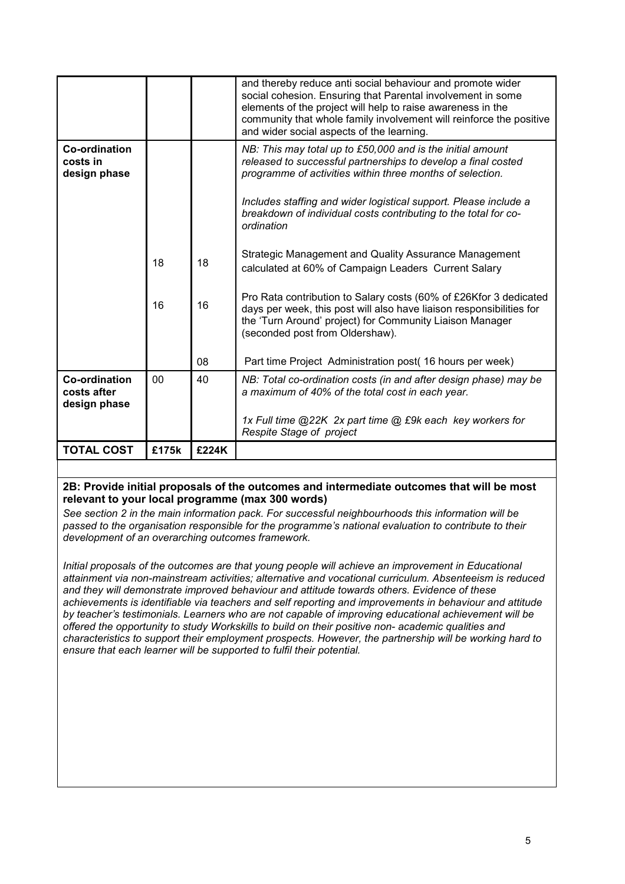|                                              |                |       | and thereby reduce anti social behaviour and promote wider<br>social cohesion. Ensuring that Parental involvement in some<br>elements of the project will help to raise awareness in the<br>community that whole family involvement will reinforce the positive<br>and wider social aspects of the learning. |
|----------------------------------------------|----------------|-------|--------------------------------------------------------------------------------------------------------------------------------------------------------------------------------------------------------------------------------------------------------------------------------------------------------------|
| Co-ordination<br>costs in<br>design phase    |                |       | NB: This may total up to £50,000 and is the initial amount<br>released to successful partnerships to develop a final costed<br>programme of activities within three months of selection.                                                                                                                     |
|                                              |                |       | Includes staffing and wider logistical support. Please include a<br>breakdown of individual costs contributing to the total for co-<br>ordination                                                                                                                                                            |
|                                              | 18             | 18    | Strategic Management and Quality Assurance Management<br>calculated at 60% of Campaign Leaders Current Salary                                                                                                                                                                                                |
|                                              | 16             | 16    | Pro Rata contribution to Salary costs (60% of £26Kfor 3 dedicated<br>days per week, this post will also have liaison responsibilities for<br>the 'Turn Around' project) for Community Liaison Manager<br>(seconded post from Oldershaw).                                                                     |
|                                              |                | 08    | Part time Project Administration post (16 hours per week)                                                                                                                                                                                                                                                    |
| Co-ordination<br>costs after<br>design phase | 0 <sub>0</sub> | 40    | NB: Total co-ordination costs (in and after design phase) may be<br>a maximum of 40% of the total cost in each year.                                                                                                                                                                                         |
|                                              |                |       | 1x Full time @22K 2x part time @ £9k each key workers for<br>Respite Stage of project                                                                                                                                                                                                                        |
| <b>TOTAL COST</b>                            | £175k          | £224K |                                                                                                                                                                                                                                                                                                              |

## 2B: Provide initial proposals of the outcomes and intermediate outcomes that will be most relevant to your local programme (max 300 words)

See section 2 in the main information pack. For successful neighbourhoods this information will be passed to the organisation responsible for the programme's national evaluation to contribute to their development of an overarching outcomes framework.

Initial proposals of the outcomes are that young people will achieve an improvement in Educational attainment via non-mainstream activities; alternative and vocational curriculum. Absenteeism is reduced and they will demonstrate improved behaviour and attitude towards others. Evidence of these achievements is identifiable via teachers and self reporting and improvements in behaviour and attitude by teacher's testimonials. Learners who are not capable of improving educational achievement will be offered the opportunity to study Workskills to build on their positive non- academic qualities and characteristics to support their employment prospects. However, the partnership will be working hard to ensure that each learner will be supported to fulfil their potential.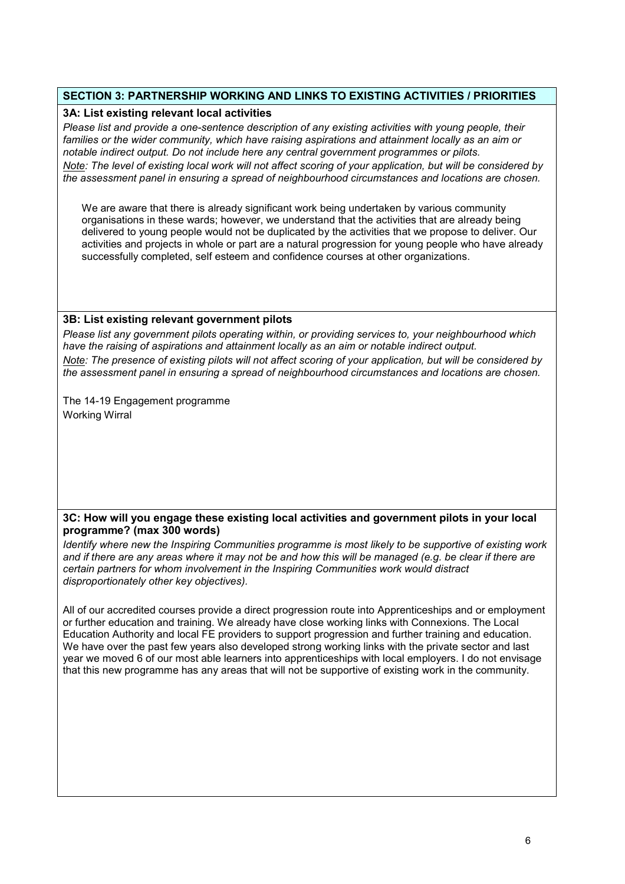# SECTION 3: PARTNERSHIP WORKING AND LINKS TO EXISTING ACTIVITIES / PRIORITIES

#### 3A: List existing relevant local activities

Please list and provide a one-sentence description of any existing activities with young people, their families or the wider community, which have raising aspirations and attainment locally as an aim or notable indirect output. Do not include here any central government programmes or pilots.

Note: The level of existing local work will not affect scoring of your application, but will be considered by the assessment panel in ensuring a spread of neighbourhood circumstances and locations are chosen.

We are aware that there is already significant work being undertaken by various community organisations in these wards; however, we understand that the activities that are already being delivered to young people would not be duplicated by the activities that we propose to deliver. Our activities and projects in whole or part are a natural progression for young people who have already successfully completed, self esteem and confidence courses at other organizations.

#### 3B: List existing relevant government pilots

Please list any government pilots operating within, or providing services to, your neighbourhood which have the raising of aspirations and attainment locally as an aim or notable indirect output.

Note: The presence of existing pilots will not affect scoring of your application, but will be considered by the assessment panel in ensuring a spread of neighbourhood circumstances and locations are chosen.

The 14-19 Engagement programme Working Wirral

#### 3C: How will you engage these existing local activities and government pilots in your local programme? (max 300 words)

Identify where new the Inspiring Communities programme is most likely to be supportive of existing work and if there are any areas where it may not be and how this will be managed (e.g. be clear if there are certain partners for whom involvement in the Inspiring Communities work would distract disproportionately other key objectives).

All of our accredited courses provide a direct progression route into Apprenticeships and or employment or further education and training. We already have close working links with Connexions. The Local Education Authority and local FE providers to support progression and further training and education. We have over the past few years also developed strong working links with the private sector and last year we moved 6 of our most able learners into apprenticeships with local employers. I do not envisage that this new programme has any areas that will not be supportive of existing work in the community.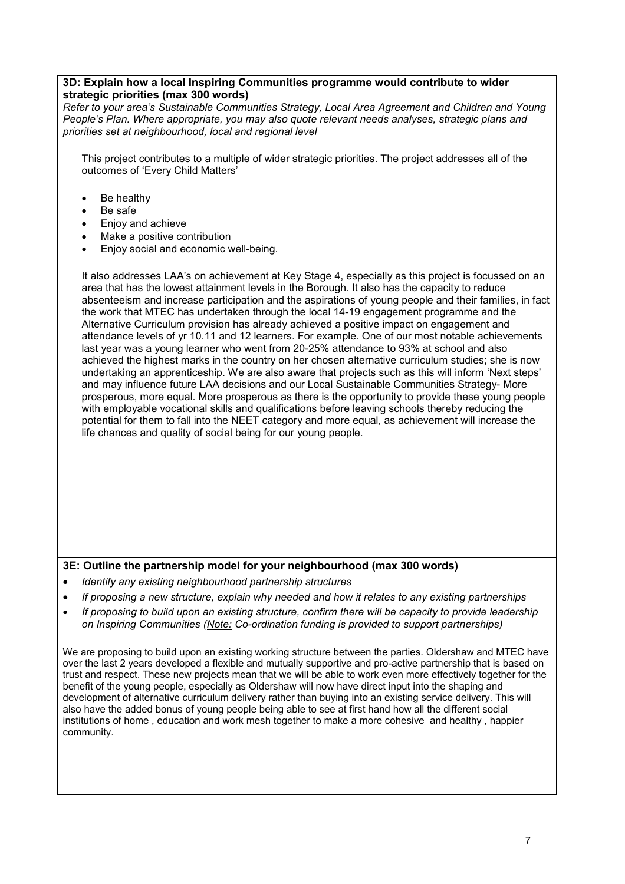#### 3D: Explain how a local Inspiring Communities programme would contribute to wider strategic priorities (max 300 words)

Refer to your area's Sustainable Communities Strategy, Local Area Agreement and Children and Young People's Plan. Where appropriate, you may also quote relevant needs analyses, strategic plans and priorities set at neighbourhood, local and regional level

This project contributes to a multiple of wider strategic priorities. The project addresses all of the outcomes of 'Every Child Matters'

- Be healthy
- Be safe
- Enjoy and achieve
- Make a positive contribution
- Enjoy social and economic well-being.

It also addresses LAA's on achievement at Key Stage 4, especially as this project is focussed on an area that has the lowest attainment levels in the Borough. It also has the capacity to reduce absenteeism and increase participation and the aspirations of young people and their families, in fact the work that MTEC has undertaken through the local 14-19 engagement programme and the Alternative Curriculum provision has already achieved a positive impact on engagement and attendance levels of yr 10.11 and 12 learners. For example. One of our most notable achievements last year was a young learner who went from 20-25% attendance to 93% at school and also achieved the highest marks in the country on her chosen alternative curriculum studies; she is now undertaking an apprenticeship. We are also aware that projects such as this will inform 'Next steps' and may influence future LAA decisions and our Local Sustainable Communities Strategy- More prosperous, more equal. More prosperous as there is the opportunity to provide these young people with employable vocational skills and qualifications before leaving schools thereby reducing the potential for them to fall into the NEET category and more equal, as achievement will increase the life chances and quality of social being for our young people.

# 3E: Outline the partnership model for your neighbourhood (max 300 words)

- Identify any existing neighbourhood partnership structures
- If proposing a new structure, explain why needed and how it relates to any existing partnerships
- If proposing to build upon an existing structure, confirm there will be capacity to provide leadership on Inspiring Communities (Note: Co-ordination funding is provided to support partnerships)

We are proposing to build upon an existing working structure between the parties. Oldershaw and MTEC have over the last 2 years developed a flexible and mutually supportive and pro-active partnership that is based on trust and respect. These new projects mean that we will be able to work even more effectively together for the benefit of the young people, especially as Oldershaw will now have direct input into the shaping and development of alternative curriculum delivery rather than buying into an existing service delivery. This will also have the added bonus of young people being able to see at first hand how all the different social institutions of home , education and work mesh together to make a more cohesive and healthy , happier community.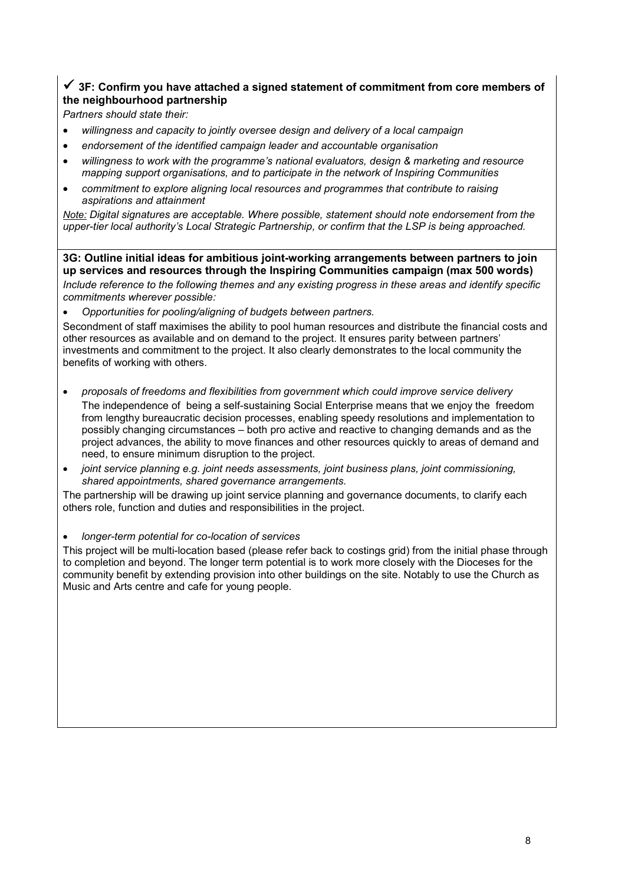# $\checkmark$  3F: Confirm you have attached a signed statement of commitment from core members of the neighbourhood partnership

Partners should state their:

- willingness and capacity to jointly oversee design and delivery of a local campaign
- endorsement of the identified campaign leader and accountable organisation
- willingness to work with the programme's national evaluators, design & marketing and resource mapping support organisations, and to participate in the network of Inspiring Communities
- commitment to explore aligning local resources and programmes that contribute to raising aspirations and attainment

Note: Digital signatures are acceptable. Where possible, statement should note endorsement from the upper-tier local authority's Local Strategic Partnership, or confirm that the LSP is being approached.

3G: Outline initial ideas for ambitious joint-working arrangements between partners to join up services and resources through the Inspiring Communities campaign (max 500 words) Include reference to the following themes and any existing progress in these areas and identify specific commitments wherever possible:

• Opportunities for pooling/aligning of budgets between partners.

Secondment of staff maximises the ability to pool human resources and distribute the financial costs and other resources as available and on demand to the project. It ensures parity between partners' investments and commitment to the project. It also clearly demonstrates to the local community the benefits of working with others.

- proposals of freedoms and flexibilities from government which could improve service delivery The independence of being a self-sustaining Social Enterprise means that we enjoy the freedom from lengthy bureaucratic decision processes, enabling speedy resolutions and implementation to possibly changing circumstances – both pro active and reactive to changing demands and as the project advances, the ability to move finances and other resources quickly to areas of demand and need, to ensure minimum disruption to the project.
- joint service planning e.g. joint needs assessments, joint business plans, joint commissioning, shared appointments, shared governance arrangements.

The partnership will be drawing up joint service planning and governance documents, to clarify each others role, function and duties and responsibilities in the project.

#### • longer-term potential for co-location of services

This project will be multi-location based (please refer back to costings grid) from the initial phase through to completion and beyond. The longer term potential is to work more closely with the Dioceses for the community benefit by extending provision into other buildings on the site. Notably to use the Church as Music and Arts centre and cafe for young people.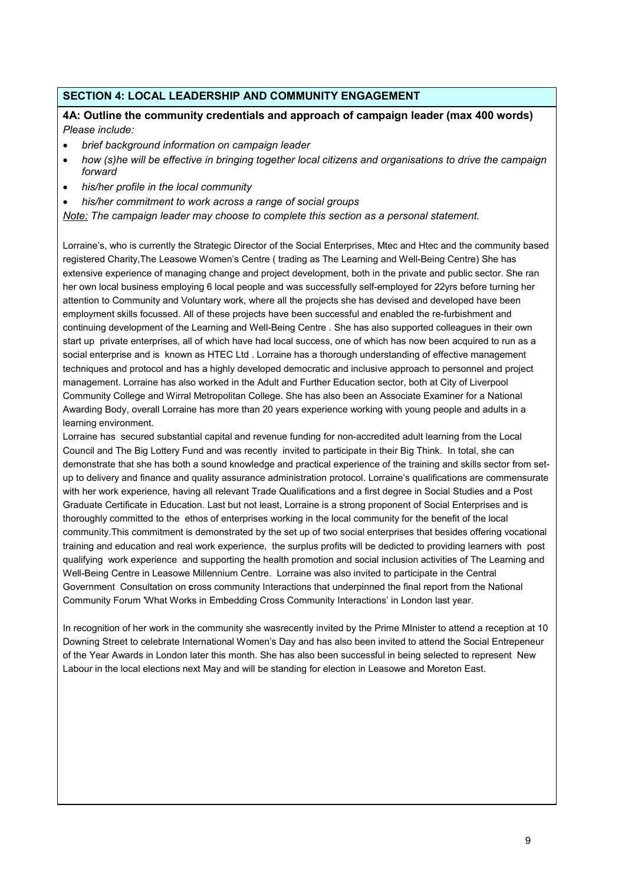# SECTION 4: LOCAL LEADERSHIP AND COMMUNITY ENGAGEMENT

## 4A: Outline the community credentials and approach of campaign leader (max 400 words) Please include:

- brief background information on campaign leader
- how (s)he will be effective in bringing together local citizens and organisations to drive the campaign forward
- his/her profile in the local community
- his/her commitment to work across a range of social groups

Note: The campaign leader may choose to complete this section as a personal statement.

Lorraine's, who is currently the Strategic Director of the Social Enterprises, Mtec and Htec and the community based registered Charity,The Leasowe Women's Centre ( trading as The Learning and Well-Being Centre) She has extensive experience of managing change and project development, both in the private and public sector. She ran her own local business employing 6 local people and was successfully self-employed for 22yrs before turning her attention to Community and Voluntary work, where all the projects she has devised and developed have been employment skills focussed. All of these projects have been successful and enabled the re-furbishment and continuing development of the Learning and Well-Being Centre . She has also supported colleagues in their own start up private enterprises, all of which have had local success, one of which has now been acquired to run as a social enterprise and is known as HTEC Ltd . Lorraine has a thorough understanding of effective management techniques and protocol and has a highly developed democratic and inclusive approach to personnel and project management. Lorraine has also worked in the Adult and Further Education sector, both at City of Liverpool Community College and Wirral Metropolitan College. She has also been an Associate Examiner for a National Awarding Body, overall Lorraine has more than 20 years experience working with young people and adults in a learning environment.

Lorraine has secured substantial capital and revenue funding for non-accredited adult learning from the Local Council and The Big Lottery Fund and was recently invited to participate in their Big Think. In total, she can demonstrate that she has both a sound knowledge and practical experience of the training and skills sector from setup to delivery and finance and quality assurance administration protocol. Lorraine's qualifications are commensurate with her work experience, having all relevant Trade Qualifications and a first degree in Social Studies and a Post Graduate Certificate in Education. Last but not least, Lorraine is a strong proponent of Social Enterprises and is thoroughly committed to the ethos of enterprises working in the local community for the benefit of the local community.This commitment is demonstrated by the set up of two social enterprises that besides offering vocational training and education and real work experience, the surplus profits will be dedicted to providing learners with post qualifying work experience and supporting the health promotion and social inclusion activities of The Learning and Well-Being Centre in Leasowe Millennium Centre. Lorraine was also invited to participate in the Central Government Consultation on cross community Interactions that underpinned the final report from the National Community Forum 'What Works in Embedding Cross Community Interactions' in London last year.

In recognition of her work in the community she wasrecently invited by the Prime MInister to attend a reception at 10 Downing Street to celebrate International Women's Day and has also been invited to attend the Social Entrepeneur of the Year Awards in London later this month. She has also been successful in being selected to represent New Labour in the local elections next May and will be standing for election in Leasowe and Moreton East.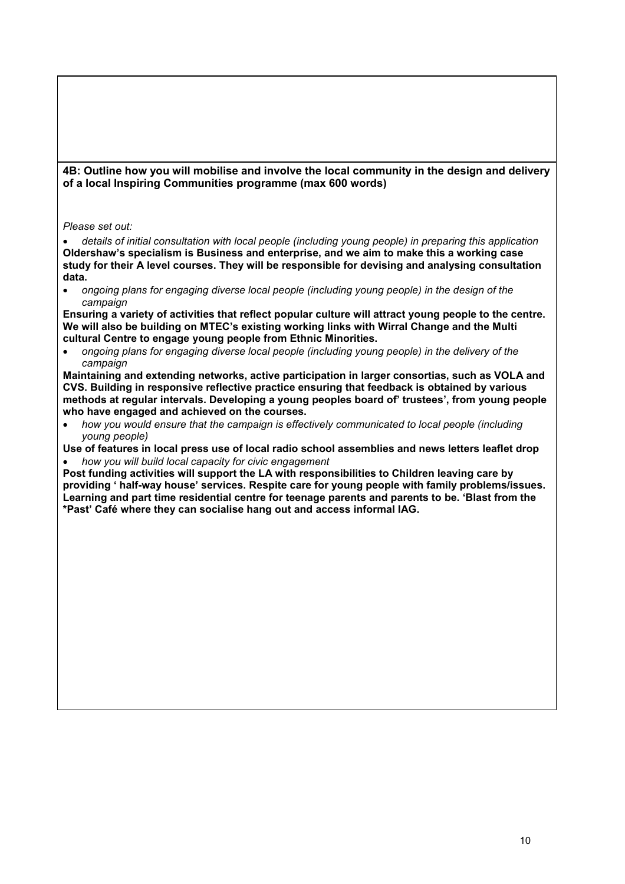4B: Outline how you will mobilise and involve the local community in the design and delivery of a local Inspiring Communities programme (max 600 words)

Please set out:

• details of initial consultation with local people (including young people) in preparing this application Oldershaw's specialism is Business and enterprise, and we aim to make this a working case study for their A level courses. They will be responsible for devising and analysing consultation data.

• ongoing plans for engaging diverse local people (including young people) in the design of the campaign

Ensuring a variety of activities that reflect popular culture will attract young people to the centre. We will also be building on MTEC's existing working links with Wirral Change and the Multi cultural Centre to engage young people from Ethnic Minorities.

• ongoing plans for engaging diverse local people (including young people) in the delivery of the campaign

Maintaining and extending networks, active participation in larger consortias, such as VOLA and CVS. Building in responsive reflective practice ensuring that feedback is obtained by various methods at regular intervals. Developing a young peoples board of' trustees', from young people who have engaged and achieved on the courses.

• how you would ensure that the campaign is effectively communicated to local people (including young people)

Use of features in local press use of local radio school assemblies and news letters leaflet drop • how you will build local capacity for civic engagement

Post funding activities will support the LA with responsibilities to Children leaving care by providing ' half-way house' services. Respite care for young people with family problems/issues. Learning and part time residential centre for teenage parents and parents to be. 'Blast from the \*Past' Café where they can socialise hang out and access informal IAG.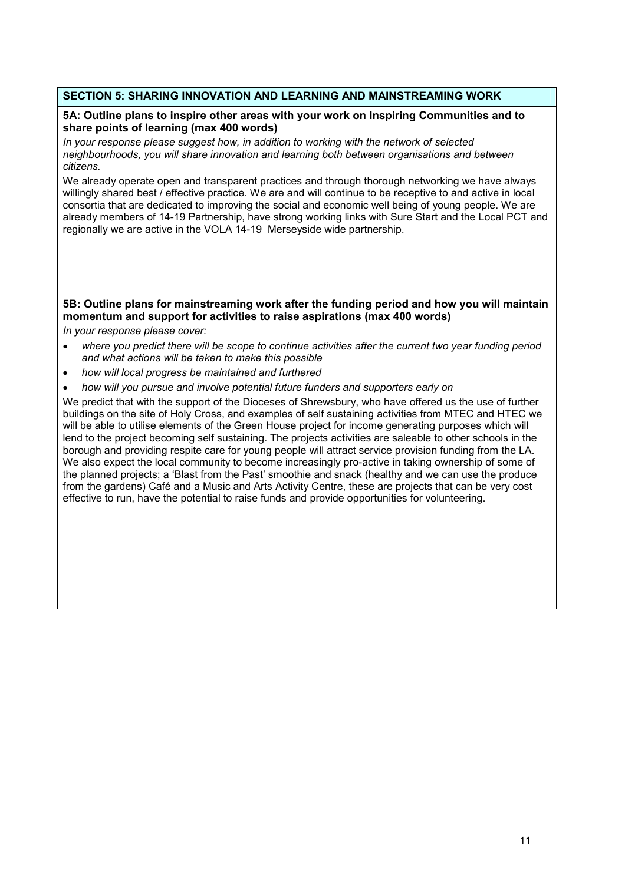# SECTION 5: SHARING INNOVATION AND LEARNING AND MAINSTREAMING WORK

#### 5A: Outline plans to inspire other areas with your work on Inspiring Communities and to share points of learning (max 400 words)

In your response please suggest how, in addition to working with the network of selected neighbourhoods, you will share innovation and learning both between organisations and between citizens.

We already operate open and transparent practices and through thorough networking we have always willingly shared best / effective practice. We are and will continue to be receptive to and active in local consortia that are dedicated to improving the social and economic well being of young people. We are already members of 14-19 Partnership, have strong working links with Sure Start and the Local PCT and regionally we are active in the VOLA 14-19 Merseyside wide partnership.

# 5B: Outline plans for mainstreaming work after the funding period and how you will maintain momentum and support for activities to raise aspirations (max 400 words)

In your response please cover:

- where you predict there will be scope to continue activities after the current two year funding period and what actions will be taken to make this possible
- how will local progress be maintained and furthered
- how will you pursue and involve potential future funders and supporters early on

We predict that with the support of the Dioceses of Shrewsbury, who have offered us the use of further buildings on the site of Holy Cross, and examples of self sustaining activities from MTEC and HTEC we will be able to utilise elements of the Green House project for income generating purposes which will lend to the project becoming self sustaining. The projects activities are saleable to other schools in the borough and providing respite care for young people will attract service provision funding from the LA. We also expect the local community to become increasingly pro-active in taking ownership of some of the planned projects; a 'Blast from the Past' smoothie and snack (healthy and we can use the produce from the gardens) Café and a Music and Arts Activity Centre, these are projects that can be very cost effective to run, have the potential to raise funds and provide opportunities for volunteering.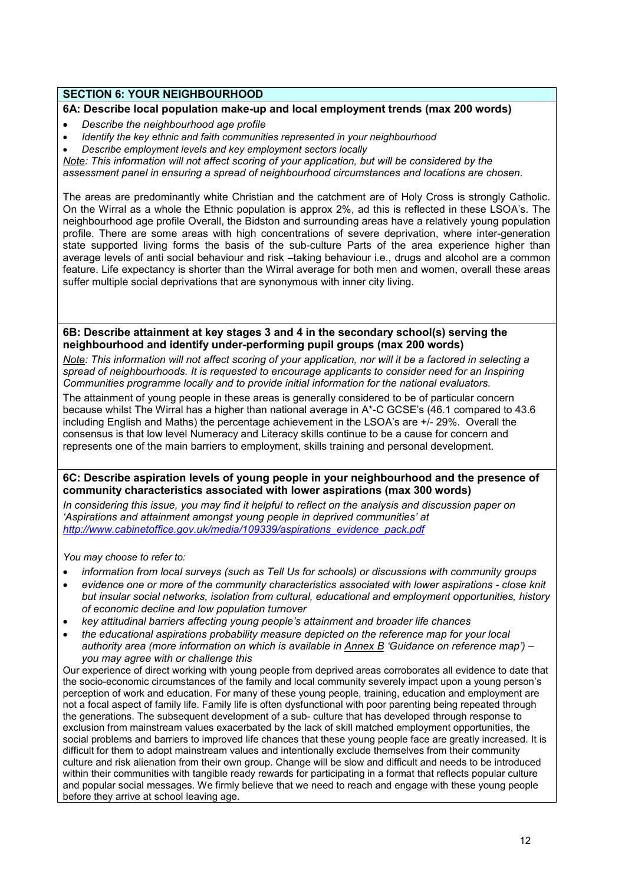# SECTION 6: YOUR NEIGHBOURHOOD

# 6A: Describe local population make-up and local employment trends (max 200 words)

- Describe the neighbourhood age profile
- Identify the key ethnic and faith communities represented in your neighbourhood
- Describe employment levels and key employment sectors locally

Note: This information will not affect scoring of your application, but will be considered by the assessment panel in ensuring a spread of neighbourhood circumstances and locations are chosen.

The areas are predominantly white Christian and the catchment are of Holy Cross is strongly Catholic. On the Wirral as a whole the Ethnic population is approx 2%, ad this is reflected in these LSOA's. The neighbourhood age profile Overall, the Bidston and surrounding areas have a relatively young population profile. There are some areas with high concentrations of severe deprivation, where inter-generation state supported living forms the basis of the sub-culture Parts of the area experience higher than average levels of anti social behaviour and risk –taking behaviour i.e., drugs and alcohol are a common feature. Life expectancy is shorter than the Wirral average for both men and women, overall these areas suffer multiple social deprivations that are synonymous with inner city living.

6B: Describe attainment at key stages 3 and 4 in the secondary school(s) serving the neighbourhood and identify under-performing pupil groups (max 200 words)

Note: This information will not affect scoring of your application, nor will it be a factored in selecting a spread of neighbourhoods. It is requested to encourage applicants to consider need for an Inspiring Communities programme locally and to provide initial information for the national evaluators.

The attainment of young people in these areas is generally considered to be of particular concern because whilst The Wirral has a higher than national average in A\*-C GCSE's (46.1 compared to 43.6 including English and Maths) the percentage achievement in the LSOA's are +/- 29%. Overall the consensus is that low level Numeracy and Literacy skills continue to be a cause for concern and represents one of the main barriers to employment, skills training and personal development.

6C: Describe aspiration levels of young people in your neighbourhood and the presence of community characteristics associated with lower aspirations (max 300 words)

In considering this issue, you may find it helpful to reflect on the analysis and discussion paper on 'Aspirations and attainment amongst young people in deprived communities' at http://www.cabinetoffice.gov.uk/media/109339/aspirations\_evidence\_pack.pdf

You may choose to refer to:

- information from local surveys (such as Tell Us for schools) or discussions with community groups
- evidence one or more of the community characteristics associated with lower aspirations close knit but insular social networks, isolation from cultural, educational and employment opportunities, history of economic decline and low population turnover
- key attitudinal barriers affecting young people's attainment and broader life chances
- the educational aspirations probability measure depicted on the reference map for your local authority area (more information on which is available in  $Annex B$  'Guidance on reference map') – you may agree with or challenge this

Our experience of direct working with young people from deprived areas corroborates all evidence to date that the socio-economic circumstances of the family and local community severely impact upon a young person's perception of work and education. For many of these young people, training, education and employment are not a focal aspect of family life. Family life is often dysfunctional with poor parenting being repeated through the generations. The subsequent development of a sub- culture that has developed through response to exclusion from mainstream values exacerbated by the lack of skill matched employment opportunities, the social problems and barriers to improved life chances that these young people face are greatly increased. It is difficult for them to adopt mainstream values and intentionally exclude themselves from their community culture and risk alienation from their own group. Change will be slow and difficult and needs to be introduced within their communities with tangible ready rewards for participating in a format that reflects popular culture and popular social messages. We firmly believe that we need to reach and engage with these young people before they arrive at school leaving age.